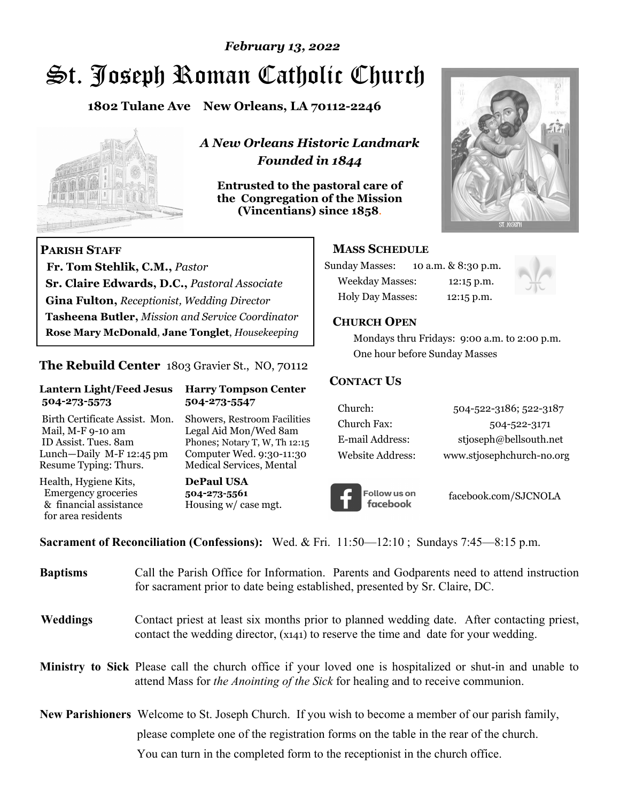# St. Joseph Roman Catholic Church *February 13, 2022*

**1802 Tulane Ave New Orleans, LA 70112-2246**



 **Fr. Tom Stehlik, C.M.,** *Pastor* 

**Sr. Claire Edwards, D.C.,** *Pastoral Associate* **Gina Fulton,** *Receptionist, Wedding Director* 

**Tasheena Butler,** *Mission and Service Coordinator* **Rose Mary McDonald**, **Jane Tonglet**, *Housekeeping*

**The Rebuild Center** 1803 Gravier St., NO, 70112

**Lantern Light/Feed Jesus Harry Tompson Center** 

Birth Certificate Assist. Mon. Showers, Restroom Facilities Mail, M-F 9-10 am Legal Aid Mon/Wed 8am ID Assist. Tues. 8am Phones; Notary T, W, Th 12:15 Lunch—Daily M-F 12:45 pm Computer Wed. 9:30-11:30 Resume Typing: Thurs. Medical Services, Mental

 **504-273-5573 504-273-5547** 

Health, Hygiene Kits, **DePaul USA**  Emergency groceries **504-273-5561**

& financial assistance Housing w/ case mgt.

**PARISH STAFF**

for area residents

*A New Orleans Historic Landmark Founded in 1844* 

**Entrusted to the pastoral care of the Congregation of the Mission (Vincentians) since 1858**.



### **MASS SCHEDULE**

| <b>Sunday Masses:</b>  | 10 a.m. & 8:30 p.m. |
|------------------------|---------------------|
| <b>Weekday Masses:</b> | $12:15$ p.m.        |
| Holy Day Masses:       | 12:15 p.m.          |



### **CHURCH OPEN**

 Mondays thru Fridays: 9:00 a.m. to 2:00 p.m. One hour before Sunday Masses

### **CONTACT US**

| Church:          | 504-522-3186; 522-3187    |
|------------------|---------------------------|
| Church Fax:      | 504-522-3171              |
| E-mail Address:  | stjoseph@bellsouth.net    |
| Website Address: | www.stjosephchurch-no.org |



facebook.com/SJCNOLA

**Sacrament of Reconciliation (Confessions):** Wed. & Fri. 11:50—12:10 ; Sundays 7:45—8:15 p.m.

| <b>Baptisms</b> | Call the Parish Office for Information. Parents and Godparents need to attend instruction<br>for sacrament prior to date being established, presented by Sr. Claire, DC.                            |
|-----------------|-----------------------------------------------------------------------------------------------------------------------------------------------------------------------------------------------------|
| Weddings        | Contact priest at least six months prior to planned wedding date. After contacting priest,<br>contact the wedding director, (x141) to reserve the time and date for your wedding.                   |
|                 | <b>Ministry to Sick</b> Please call the church office if your loved one is hospitalized or shut-in and unable to<br>attend Mass for the Anointing of the Sick for healing and to receive communion. |
|                 | <b>New Parishioners</b> Welcome to St. Joseph Church. If you wish to become a member of our parish family,                                                                                          |
|                 | please complete one of the registration forms on the table in the rear of the church.                                                                                                               |
|                 | You can turn in the completed form to the reception is the church office.                                                                                                                           |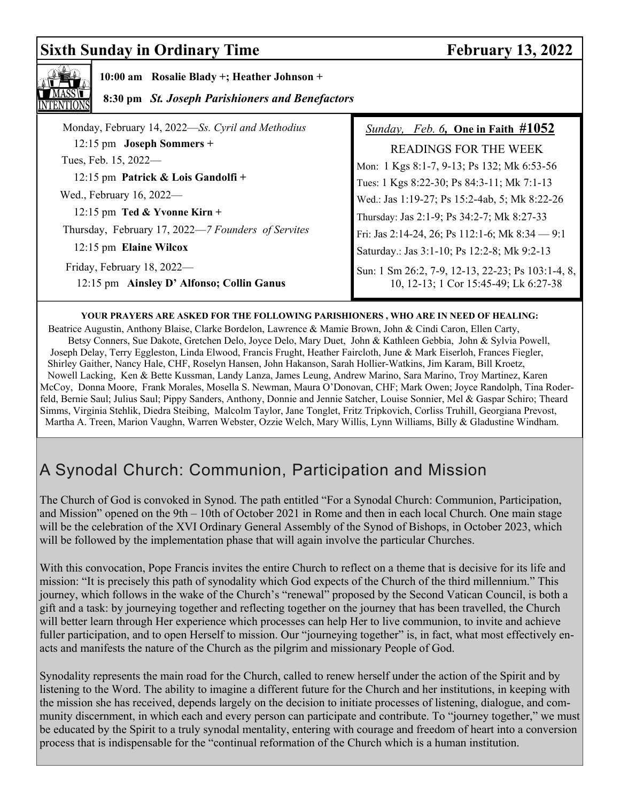## **Sixth Sunday in Ordinary Time February 13, 2022**



 **10:00 am Rosalie Blady +; Heather Johnson +** 

### **8:30 pm** *St. Joseph Parishioners and Benefactors*

| Monday, February 14, 2022-Ss. Cyril and Methodius                       | <i>Sunday, Feb. 6, One in Faith <math>#1052</math></i>                                     |
|-------------------------------------------------------------------------|--------------------------------------------------------------------------------------------|
| $12:15$ pm Joseph Sommers +                                             | <b>READINGS FOR THE WEEK</b>                                                               |
| Tues, Feb. 15, 2022—                                                    | Mon: 1 Kgs 8:1-7, 9-13; Ps 132; Mk 6:53-56                                                 |
| 12:15 pm Patrick & Lois Gandolfi +                                      | Tues: 1 Kgs 8:22-30; Ps 84:3-11; Mk 7:1-13                                                 |
| Wed., February 16, 2022—                                                | Wed.: Jas 1:19-27; Ps 15:2-4ab, 5; Mk 8:22-26                                              |
| 12:15 pm Ted & Yvonne Kirn +                                            | Thursday: Jas 2:1-9; Ps 34:2-7; Mk 8:27-33                                                 |
| Thursday, February 17, 2022—7 Founders of Servites                      | Fri: Jas 2:14-24, 26; Ps 112:1-6; Mk 8:34 - 9:1                                            |
| 12:15 pm Elaine Wilcox                                                  | Saturday.: Jas 3:1-10; Ps 12:2-8; Mk 9:2-13                                                |
| Friday, February 18, 2022-<br>12:15 pm Ainsley D' Alfonso; Collin Ganus | Sun: 1 Sm 26:2, 7-9, 12-13, 22-23; Ps 103:1-4, 8,<br>10, 12-13; 1 Cor 15:45-49; Lk 6:27-38 |

### **YOUR PRAYERS ARE ASKED FOR THE FOLLOWING PARISHIONERS , WHO ARE IN NEED OF HEALING:**

 Beatrice Augustin, Anthony Blaise, Clarke Bordelon, Lawrence & Mamie Brown, John & Cindi Caron, Ellen Carty, Betsy Conners, Sue Dakote, Gretchen Delo, Joyce Delo, Mary Duet, John & Kathleen Gebbia, John & Sylvia Powell, Joseph Delay, Terry Eggleston, Linda Elwood, Francis Frught, Heather Faircloth, June & Mark Eiserloh, Frances Fiegler, Shirley Gaither, Nancy Hale, CHF, Roselyn Hansen, John Hakanson, Sarah Hollier-Watkins, Jim Karam, Bill Kroetz, Nowell Lacking, Ken & Bette Kussman, Landy Lanza, James Leung, Andrew Marino, Sara Marino, Troy Martinez, Karen McCoy, Donna Moore, Frank Morales, Mosella S. Newman, Maura O'Donovan, CHF; Mark Owen; Joyce Randolph, Tina Roderfeld, Bernie Saul; Julius Saul; Pippy Sanders, Anthony, Donnie and Jennie Satcher, Louise Sonnier, Mel & Gaspar Schiro; Theard Simms, Virginia Stehlik, Diedra Steibing, Malcolm Taylor, Jane Tonglet, Fritz Tripkovich, Corliss Truhill, Georgiana Prevost, Martha A. Treen, Marion Vaughn, Warren Webster, Ozzie Welch, Mary Willis, Lynn Williams, Billy & Gladustine Windham.

# A Synodal Church: Communion, Participation and Mission

The Church of God is convoked in Synod. The path entitled "For a Synodal Church: Communion, Participation, and Mission" opened on the 9th – 10th of October 2021 in Rome and then in each local Church. One main stage will be the celebration of the XVI Ordinary General Assembly of the Synod of Bishops, in October 2023, which will be followed by the implementation phase that will again involve the particular Churches.

With this convocation, Pope Francis invites the entire Church to reflect on a theme that is decisive for its life and mission: "It is precisely this path of synodality which God expects of the Church of the third millennium." This journey, which follows in the wake of the Church's "renewal" proposed by the Second Vatican Council, is both a gift and a task: by journeying together and reflecting together on the journey that has been travelled, the Church will better learn through Her experience which processes can help Her to live communion, to invite and achieve fuller participation, and to open Herself to mission. Our "journeying together" is, in fact, what most effectively enacts and manifests the nature of the Church as the pilgrim and missionary People of God.

Synodality represents the main road for the Church, called to renew herself under the action of the Spirit and by listening to the Word. The ability to imagine a different future for the Church and her institutions, in keeping with the mission she has received, depends largely on the decision to initiate processes of listening, dialogue, and community discernment, in which each and every person can participate and contribute. To "journey together," we must be educated by the Spirit to a truly synodal mentality, entering with courage and freedom of heart into a conversion process that is indispensable for the "continual reformation of the Church which is a human institution.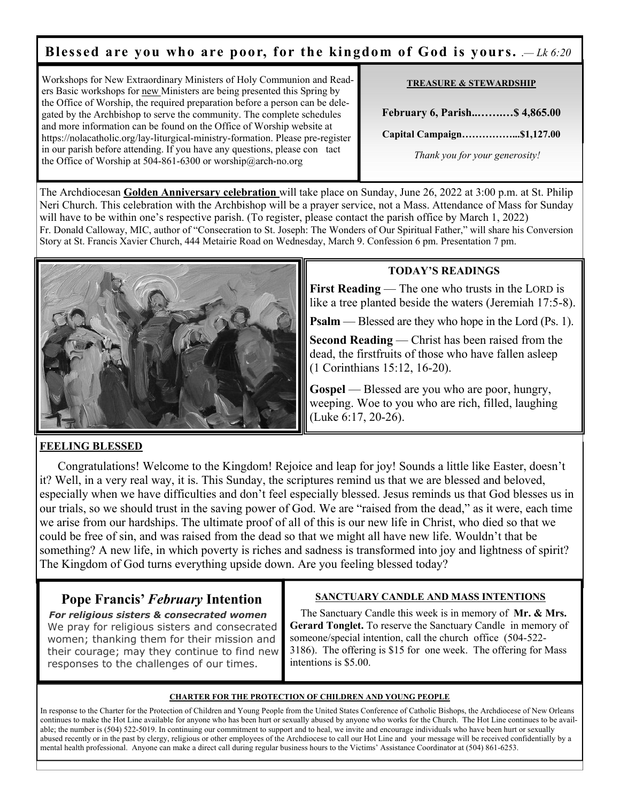### **Blessed are you who are poor, for the kingdom of God is yours.**  $-Lk 6:20$

Workshops for New Extraordinary Ministers of Holy Communion and Readers Basic workshops for new Ministers are being presented this Spring by the Office of Worship, the required preparation before a person can be delegated by the Archbishop to serve the community. The complete schedules and more information can be found on the Office of Worship website at https://nolacatholic.org/lay-liturgical-ministry-formation. Please pre-register in our parish before attending. If you have any questions, please con tact the Office of Worship at 504-861-6300 or worship@arch-no.org

#### **TREASURE & STEWARDSHIP**

**February 6, Parish..…….…\$ 4,865.00** 

**Capital Campaign……………...\$1,127.00** 

 *Thank you for your generosity!* 

The Archdiocesan **Golden Anniversary celebration** will take place on Sunday, June 26, 2022 at 3:00 p.m. at St. Philip Neri Church. This celebration with the Archbishop will be a prayer service, not a Mass. Attendance of Mass for Sunday will have to be within one's respective parish. (To register, please contact the parish office by March 1, 2022) Fr. Donald Calloway, MIC, author of "Consecration to St. Joseph: The Wonders of Our Spiritual Father," will share his Conversion Story at St. Francis Xavier Church, 444 Metairie Road on Wednesday, March 9. Confession 6 pm. Presentation 7 pm.



### **TODAY'S READINGS**

**First Reading** — The one who trusts in the LORD is like a tree planted beside the waters (Jeremiah 17:5-8).

**Psalm** — Blessed are they who hope in the Lord (Ps. 1).

**Second Reading** — Christ has been raised from the dead, the firstfruits of those who have fallen asleep (1 Corinthians 15:12, 16-20).

**Gospel** — Blessed are you who are poor, hungry, weeping. Woe to you who are rich, filled, laughing (Luke 6:17, 20-26).

### **FEELING BLESSED**

Congratulations! Welcome to the Kingdom! Rejoice and leap for joy! Sounds a little like Easter, doesn't it? Well, in a very real way, it is. This Sunday, the scriptures remind us that we are blessed and beloved, especially when we have difficulties and don't feel especially blessed. Jesus reminds us that God blesses us in our trials, so we should trust in the saving power of God. We are "raised from the dead," as it were, each time we arise from our hardships. The ultimate proof of all of this is our new life in Christ, who died so that we could be free of sin, and was raised from the dead so that we might all have new life. Wouldn't that be something? A new life, in which poverty is riches and sadness is transformed into joy and lightness of spirit? The Kingdom of God turns everything upside down. Are you feeling blessed today?

### **Pope Francis'** *February* **Intention**

*For religious sisters & consecrated women* We pray for religious sisters and consecrated women; thanking them for their mission and their courage; may they continue to find new responses to the challenges of our times.

#### **SANCTUARY CANDLE AND MASS INTENTIONS**

 The Sanctuary Candle this week is in memory of **Mr. & Mrs. Gerard Tonglet.** To reserve the Sanctuary Candle in memory of someone/special intention, call the church office (504-522- 3186). The offering is \$15 for one week. The offering for Mass intentions is \$5.00.

#### **CHARTER FOR THE PROTECTION OF CHILDREN AND YOUNG PEOPLE**

In response to the Charter for the Protection of Children and Young People from the United States Conference of Catholic Bishops, the Archdiocese of New Orleans continues to make the Hot Line available for anyone who has been hurt or sexually abused by anyone who works for the Church. The Hot Line continues to be available; the number is (504) 522-5019. In continuing our commitment to support and to heal, we invite and encourage individuals who have been hurt or sexually abused recently or in the past by clergy, religious or other employees of the Archdiocese to call our Hot Line and your message will be received confidentially by a mental health professional. Anyone can make a direct call during regular business hours to the Victims' Assistance Coordinator at (504) 861-6253.